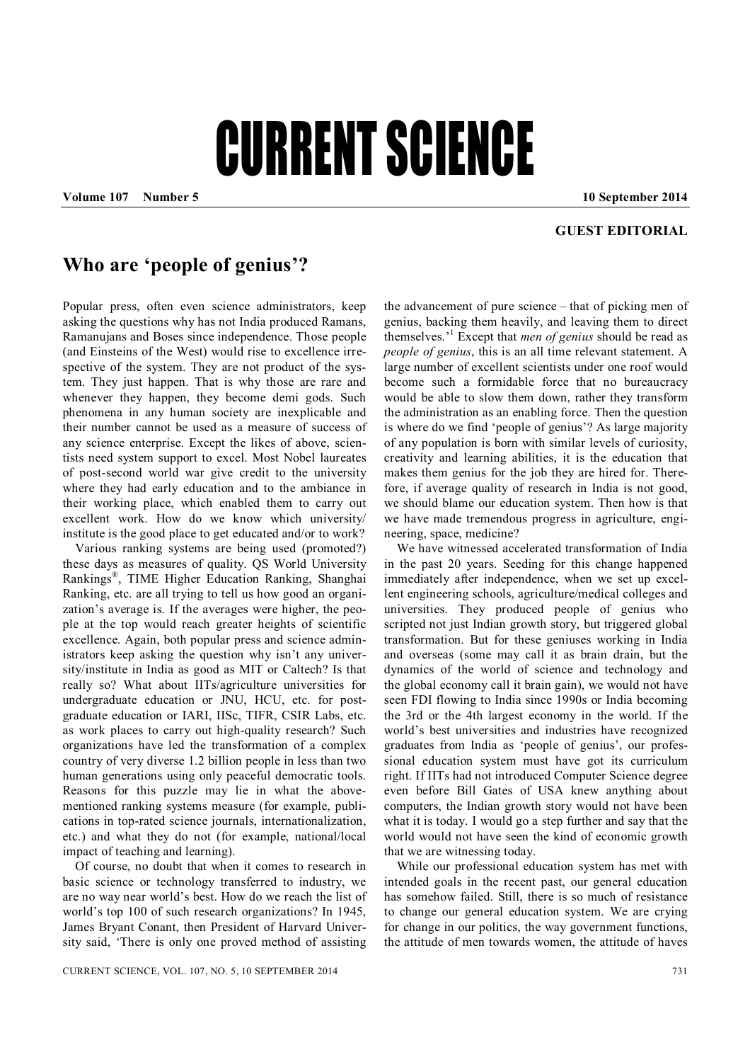## CURRENT SCIENCE

**Volume 107 Number 5 10 September 2014**

## **GUEST EDITORIAL**

## **Who are 'people of genius'?**

Popular press, often even science administrators, keep asking the questions why has not India produced Ramans, Ramanujans and Boses since independence. Those people (and Einsteins of the West) would rise to excellence irrespective of the system. They are not product of the system. They just happen. That is why those are rare and whenever they happen, they become demi gods. Such phenomena in any human society are inexplicable and their number cannot be used as a measure of success of any science enterprise. Except the likes of above, scientists need system support to excel. Most Nobel laureates of post-second world war give credit to the university where they had early education and to the ambiance in their working place, which enabled them to carry out excellent work. How do we know which university/ institute is the good place to get educated and/or to work?

Various ranking systems are being used (promoted?) these days as measures of quality. QS World University Rankings*®* , TIME Higher Education Ranking, Shanghai Ranking, etc. are all trying to tell us how good an organization's average is. If the averages were higher, the people at the top would reach greater heights of scientific excellence. Again, both popular press and science administrators keep asking the question why isn't any university/institute in India as good as MIT or Caltech? Is that really so? What about IITs/agriculture universities for undergraduate education or JNU, HCU, etc. for postgraduate education or IARI, IISc, TIFR, CSIR Labs, etc. as work places to carry out high-quality research? Such organizations have led the transformation of a complex country of very diverse 1.2 billion people in less than two human generations using only peaceful democratic tools. Reasons for this puzzle may lie in what the abovementioned ranking systems measure (for example, publications in top-rated science journals, internationalization, etc.) and what they do not (for example, national/local impact of teaching and learning).

Of course, no doubt that when it comes to research in basic science or technology transferred to industry, we are no way near world's best. How do we reach the list of world's top 100 of such research organizations? In 1945, James Bryant Conant, then President of Harvard University said, 'There is only one proved method of assisting

the advancement of pure science – that of picking men of genius, backing them heavily, and leaving them to direct themselves.' 1 Except that *men of genius* should be read as *people of genius*, this is an all time relevant statement. A large number of excellent scientists under one roof would become such a formidable force that no bureaucracy would be able to slow them down, rather they transform the administration as an enabling force. Then the question is where do we find 'people of genius'? As large majority of any population is born with similar levels of curiosity, creativity and learning abilities, it is the education that makes them genius for the job they are hired for. Therefore, if average quality of research in India is not good, we should blame our education system. Then how is that we have made tremendous progress in agriculture, engineering, space, medicine?

We have witnessed accelerated transformation of India in the past 20 years. Seeding for this change happened immediately after independence, when we set up excellent engineering schools, agriculture/medical colleges and universities. They produced people of genius who scripted not just Indian growth story, but triggered global transformation. But for these geniuses working in India and overseas (some may call it as brain drain, but the dynamics of the world of science and technology and the global economy call it brain gain), we would not have seen FDI flowing to India since 1990s or India becoming the 3rd or the 4th largest economy in the world. If the world's best universities and industries have recognized graduates from India as 'people of genius', our professional education system must have got its curriculum right. If IITs had not introduced Computer Science degree even before Bill Gates of USA knew anything about computers, the Indian growth story would not have been what it is today. I would go a step further and say that the world would not have seen the kind of economic growth that we are witnessing today.

While our professional education system has met with intended goals in the recent past, our general education has somehow failed. Still, there is so much of resistance to change our general education system. We are crying for change in our politics, the way government functions, the attitude of men towards women, the attitude of haves